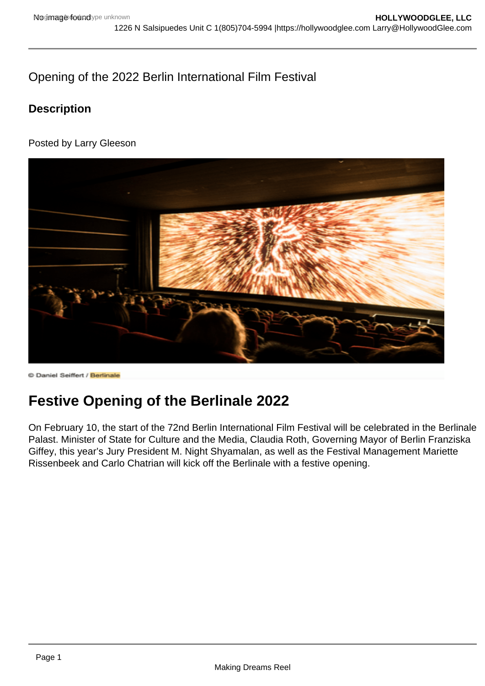## Opening of the 2022 Berlin International Film Festival

**Description** 

Posted by Larry Gleeson

## Festive Opening of the Berlinale 2022

On February 10, the start of the 72nd Berlin International Film Festival will be celebrated in the Berlinale Palast. Minister of State for Culture and the Media, Claudia Roth, Governing Mayor of Berlin Franziska Giffey, this year's Jury President M. Night Shyamalan, as well as the Festival Management Mariette Rissenbeek and Carlo Chatrian will kick off the Berlinale with a festive opening.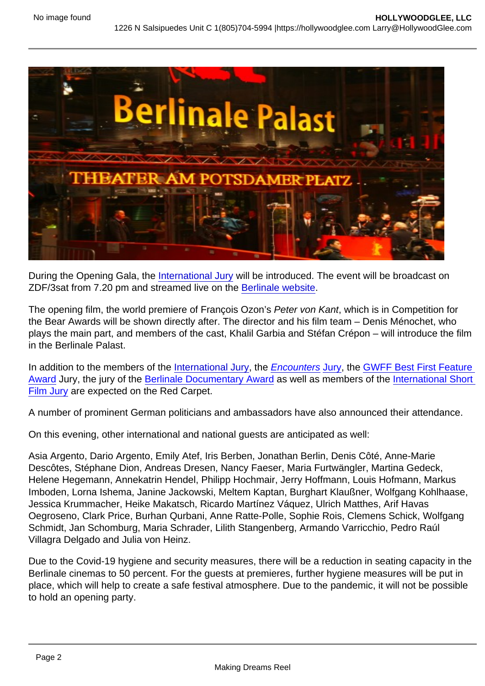During the Opening Gala, the [International Jury](https://www.berlinale.de/en/festival/awards-and-juries/international-jury.html) will be introduced. The event will be broadcast on ZDF/3sat from 7.20 pm and streamed live on the [Berlinale website](https://www.berlinale.de/en/photos-videos/berlinale-live/streaming.html).

The opening film, the world premiere of François Ozon's Peter von Kant, which is in Competition for the Bear Awards will be shown directly after. The director and his film team – Denis Ménochet, who plays the main part, and members of the cast, Khalil Garbia and Stéfan Crépon – will introduce the film in the Berlinale Palast.

In addition to the members of the [International Jury,](https://www.berlinale.de/en/festival/awards-and-juries/international-jury.html) the [Encounters](https://www.berlinale.de/en/festival/awards-and-juries/awards-encounters.html) Jury, the GWFF Best First Feature Award Jury, the jury of the [Berlinale Documentary Award](https://www.berlinale.de/en/festival/awards-and-juries/berlinale-documentary-award.html) as well as members of the International Short Film Jury are expected on the Red Carpet.

A number of prominent German politicians and ambassadors have also announced their attendance.

On this evening, other international and national guests are anticipated as well:

Asia Argento, Dario Argento, Emily Atef, Iris Berben, Jonathan Berlin, Denis Côté, Anne-Marie Descôtes, Stéphane Dion, Andreas Dresen, Nancy Faeser, Maria Furtwängler, Martina Gedeck, Helene Hegemann, Annekatrin Hendel, Philipp Hochmair, Jerry Hoffmann, Louis Hofmann, Markus Imboden, Lorna Ishema, Janine Jackowski, Meltem Kaptan, Burghart Klaußner, Wolfgang Kohlhaase, Jessica Krummacher, Heike Makatsch, Ricardo Martínez Váquez, Ulrich Matthes, Arif Havas Oegroseno, Clark Price, Burhan Qurbani, Anne Ratte-Polle, Sophie Rois, Clemens Schick, Wolfgang Schmidt, Jan Schomburg, Maria Schrader, Lilith Stangenberg, Armando Varricchio, Pedro Raúl Villagra Delgado and Julia von Heinz.

Due to the Covid-19 hygiene and security measures, there will be a reduction in seating capacity in the Berlinale cinemas to 50 percent. For the guests at premieres, further hygiene measures will be put in place, which will help to create a safe festival atmosphere. Due to the pandemic, it will not be possible to hold an opening party.